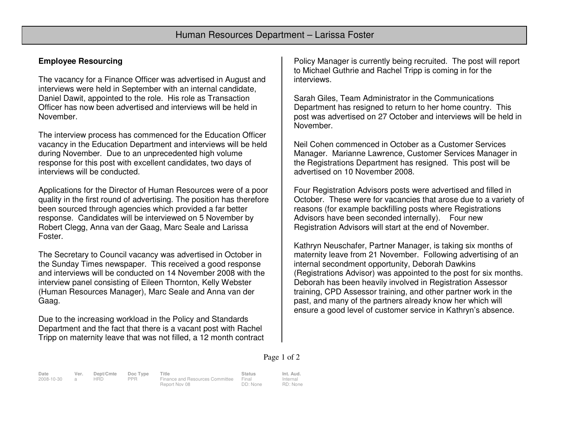# **Employee Resourcing**

The vacancy for a Finance Officer was advertised in August and interviews were held in September with an internal candidate, Daniel Dawit, appointed to the role. His role as Transaction Officer has now been advertised and interviews will be held in November.

The interview process has commenced for the Education Officer vacancy in the Education Department and interviews will be held during November. Due to an unprecedented high volume response for this post with excellent candidates, two days of interviews will be conducted.

Applications for the Director of Human Resources were of a poor quality in the first round of advertising. The position has therefore been sourced through agencies which provided a far better response. Candidates will be interviewed on 5 November by Robert Clegg, Anna van der Gaag, Marc Seale and Larissa Foster.

The Secretary to Council vacancy was advertised in October in the Sunday Times newspaper. This received a good response and interviews will be conducted on 14 November 2008 with the interview panel consisting of Eileen Thornton, Kelly Webster (Human Resources Manager), Marc Seale and Anna van der Gaag.

Due to the increasing workload in the Policy and Standards Department and the fact that there is a vacant post with Rachel Tripp on maternity leave that was not filled, a 12 month contract

Policy Manager is currently being recruited. The post will report to Michael Guthrie and Rachel Tripp is coming in for the interviews.

Sarah Giles, Team Administrator in the Communications Department has resigned to return to her home country. This post was advertised on 27 October and interviews will be held in November.

Neil Cohen commenced in October as a Customer Services Manager. Marianne Lawrence, Customer Services Manager in the Registrations Department has resigned. This post will be advertised on 10 November 2008.

Four Registration Advisors posts were advertised and filled in October. These were for vacancies that arose due to a variety of reasons (for example backfilling posts where Registrations Advisors have been seconded internally). Four new Registration Advisors will start at the end of November.

Kathryn Neuschafer, Partner Manager, is taking six months of maternity leave from 21 November. Following advertising of an internal secondment opportunity, Deborah Dawkins (Registrations Advisor) was appointed to the post for six months. Deborah has been heavily involved in Registration Assessor training, CPD Assessor training, and other partner work in the past, and many of the partners already know her which will ensure a good level of customer service in Kathryn's absence.

#### Page 1 of 2

**Date Ver. Dept/Cmte Doc Type Title Status Int. Aud.**2008-10-30 a HRD PPR Finance and Resources Committee

Report Nov 08

Final DD: None Internal RD: None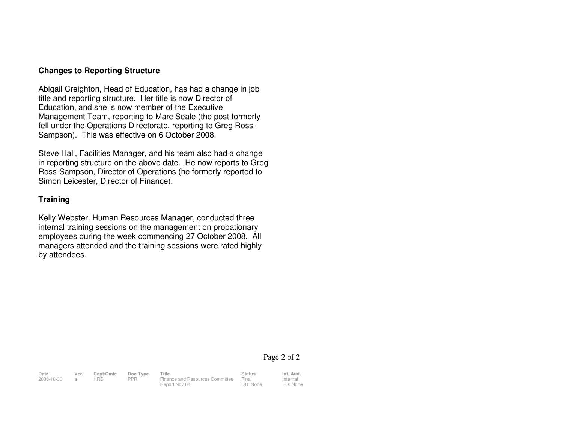### **Changes to Reporting Structure**

Abigail Creighton, Head of Education, has had a change in job title and reporting structure. Her title is now Director of Education, and she is now member of the Executive Management Team, reporting to Marc Seale (the post formerly fell under the Operations Directorate, reporting to Greg Ross-Sampson). This was effective on 6 October 2008.

Steve Hall, Facilities Manager, and his team also had a change in reporting structure on the above date. He now reports to Greg Ross-Sampson, Director of Operations (he formerly reported to Simon Leicester, Director of Finance).

## **Training**

Kelly Webster, Human Resources Manager, conducted three internal training sessions on the management on probationary employees during the week commencing 27 October 2008. All managers attended and the training sessions were rated highly by attendees.

### Page 2 of 2

Internal RD: None

| Date       | Ver. | Dept/Cmte | Doc Type | Title                           | <b>Status</b> | Int. Aud. |
|------------|------|-----------|----------|---------------------------------|---------------|-----------|
| 2008-10-30 |      | HRD       | PPR      | Finance and Resources Committee | Final         | Internal  |
|            |      |           |          | Report Nov 08                   | DD: None      | RD: Non   |